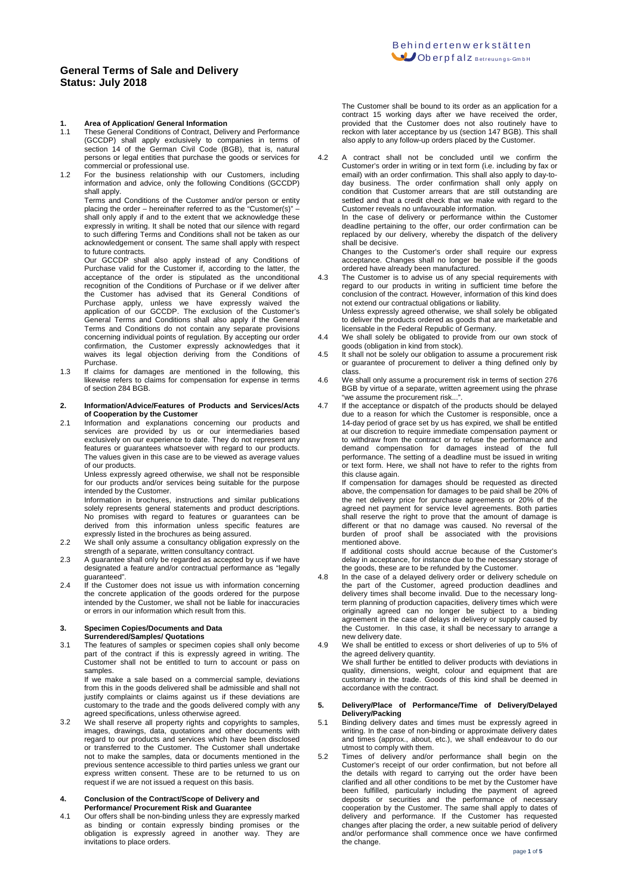## **1. Area of Application/ General Information**<br>**11** These General Conditions of Contract Deliv

- These General Conditions of Contract, Delivery and Performance (GCCDP) shall apply exclusively to companies in terms of section 14 of the German Civil Code (BGB), that is, natural persons or legal entities that purchase the goods or services for commercial or professional use.
- 1.2 For the business relationship with our Customers, including information and advice, only the following Conditions (GCCDP) shall apply.

Terms and Conditions of the Customer and/or person or entity placing the order – hereinafter referred to as the "Customer(s)" – shall only apply if and to the extent that we acknowledge these expressly in writing. It shall be noted that our silence with regard to such differing Terms and Conditions shall not be taken as our acknowledgement or consent. The same shall apply with respect to future contracts.

Our GCCDP shall also apply instead of any Conditions of Purchase valid for the Customer if, according to the latter, the acceptance of the order is stipulated as the unconditional recognition of the Conditions of Purchase or if we deliver after the Customer has advised that its General Conditions of Purchase apply, unless we have expressly waived the application of our GCCDP. The exclusion of the Customer's General Terms and Conditions shall also apply if the General Terms and Conditions do not contain any separate provisions concerning individual points of regulation. By accepting our order confirmation, the Customer expressly acknowledges that it waives its legal objection deriving from the Conditions of Purchase.

1.3 If claims for damages are mentioned in the following, this likewise refers to claims for compensation for expense in terms of section 284 BGB.

#### **2. Information/Advice/Features of Products and Services/Acts of Cooperation by the Customer**

2.1 Information and explanations concerning our products and services are provided by us or our intermediaries based exclusively on our experience to date. They do not represent any features or guarantees whatsoever with regard to our products. The values given in this case are to be viewed as average values of our products.

Unless expressly agreed otherwise, we shall not be responsible for our products and/or services being suitable for the purpose intended by the Customer.

Information in brochures, instructions and similar publications solely represents general statements and product descriptions. No promises with regard to features or guarantees can be derived from this information unless specific features are expressly listed in the brochures as being assured.

- 2.2 We shall only assume a consultancy obligation expressly on the strength of a separate, written consultancy contract.
- 2.3 A guarantee shall only be regarded as accepted by us if we have designated a feature and/or contractual performance as "legally guaranteed".
- 2.4 If the Customer does not issue us with information concerning the concrete application of the goods ordered for the purpose intended by the Customer, we shall not be liable for inaccuracies or errors in our information which result from this.

### **3. Specimen Copies/Documents and Data Surrendered/Samples/ Quotations**

3.1 The features of samples or specimen copies shall only become part of the contract if this is expressly agreed in writing. The Customer shall not be entitled to turn to account or pass on samples.

If we make a sale based on a commercial sample, deviations from this in the goods delivered shall be admissible and shall not justify complaints or claims against us if these deviations are customary to the trade and the goods delivered comply with any agreed specifications, unless otherwise agreed.

3.2 We shall reserve all property rights and copyrights to samples, images, drawings, data, quotations and other documents with regard to our products and services which have been disclosed or transferred to the Customer. The Customer shall undertake not to make the samples, data or documents mentioned in the previous sentence accessible to third parties unless we grant our express written consent. These are to be returned to us on request if we are not issued a request on this basis.

### **4. Conclusion of the Contract/Scope of Delivery and Performance/ Procurement Risk and Guarantee**

4.1 Our offers shall be non-binding unless they are expressly marked as binding or contain expressly binding promises or the obligation is expressly agreed in another way. They are invitations to place orders.

The Customer shall be bound to its order as an application for a contract 15 working days after we have received the order, provided that the Customer does not also routinely have to reckon with later acceptance by us (section 147 BGB). This shall also apply to any follow-up orders placed by the Customer.

4.2 A contract shall not be concluded until we confirm the Customer's order in writing or in text form (i.e. including by fax or email) with an order confirmation. This shall also apply to day-today business. The order confirmation shall only apply on condition that Customer arrears that are still outstanding are settled and that a credit check that we make with regard to the Customer reveals no unfavourable information.

In the case of delivery or performance within the Customer deadline pertaining to the offer, our order confirmation can be replaced by our delivery, whereby the dispatch of the delivery shall be decisive.

Changes to the Customer's order shall require our express acceptance. Changes shall no longer be possible if the goods ordered have already been manufactured.

4.3 The Customer is to advise us of any special requirements with regard to our products in writing in sufficient time before the conclusion of the contract. However, information of this kind does not extend our contractual obligations or liability.

Unless expressly agreed otherwise, we shall solely be obligated to deliver the products ordered as goods that are marketable and licensable in the Federal Republic of Germany.

- 4.4 We shall solely be obligated to provide from our own stock of goods (obligation in kind from stock).
- 4.5 It shall not be solely our obligation to assume a procurement risk or guarantee of procurement to deliver a thing defined only by class.
- 4.6 We shall only assume a procurement risk in terms of section 276 BGB by virtue of a separate, written agreement using the phrase "we assume the procurement risk...".
- 4.7 If the acceptance or dispatch of the products should be delayed due to a reason for which the Customer is responsible, once a 14-day period of grace set by us has expired, we shall be entitled at our discretion to require immediate compensation payment or to withdraw from the contract or to refuse the performance and demand compensation for damages instead of the full performance. The setting of a deadline must be issued in writing or text form. Here, we shall not have to refer to the rights from this clause again

If compensation for damages should be requested as directed above, the compensation for damages to be paid shall be 20% of the net delivery price for purchase agreements or 20% of the agreed net payment for service level agreements. Both parties shall reserve the right to prove that the amount of damage is different or that no damage was caused. No reversal of the burden of proof shall be associated with the provisions mentioned above.

If additional costs should accrue because of the Customer's delay in acceptance, for instance due to the necessary storage of the goods, these are to be refunded by the Customer.

- 4.8 In the case of a delayed delivery order or delivery schedule on the part of the Customer, agreed production deadlines and delivery times shall become invalid. Due to the necessary longterm planning of production capacities, delivery times which were originally agreed can no longer be subject to a binding agreement in the case of delays in delivery or supply caused by the Customer. In this case, it shall be necessary to arrange a new delivery date.
- 4.9 We shall be entitled to excess or short deliveries of up to 5% of the agreed delivery quantity. We shall further be entitled to deliver products with deviations in

quality, dimensions, weight, colour and equipment that are customary in the trade. Goods of this kind shall be deemed in accordance with the contract.

### **5. Delivery/Place of Performance/Time of Delivery/Delayed Delivery/Packing**

- 5.1 Binding delivery dates and times must be expressly agreed in writing. In the case of non-binding or approximate delivery dates and times (approx., about, etc.), we shall endeavour to do our utmost to comply with them.
- 5.2 Times of delivery and/or performance shall begin on the Customer's receipt of our order confirmation, but not before all the details with regard to carrying out the order have been clarified and all other conditions to be met by the Customer have been fulfilled, particularly including the payment of agreed deposits or securities and the performance of necessary cooperation by the Customer. The same shall apply to dates of delivery and performance. If the Customer has requested changes after placing the order, a new suitable period of delivery and/or performance shall commence once we have confirmed the change.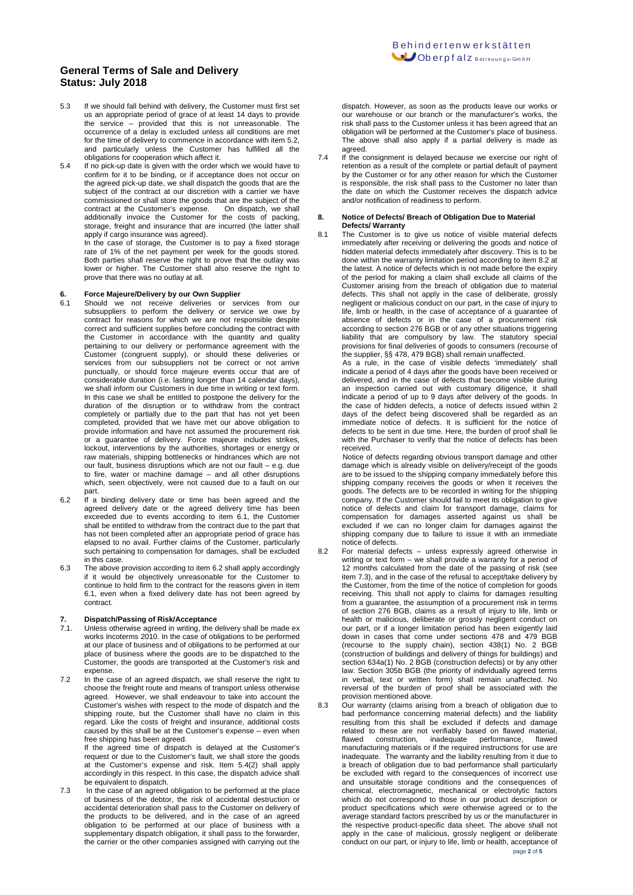- 5.3 If we should fall behind with delivery, the Customer must first set us an appropriate period of grace of at least 14 days to provide the service – provided that this is not unreasonable. The occurrence of a delay is excluded unless all conditions are met for the time of delivery to commence in accordance with item 5.2, and particularly unless the Customer has fulfilled all the obligations for cooperation which affect it.
- 5.4 If no pick-up date is given with the order which we would have to confirm for it to be binding, or if acceptance does not occur on the agreed pick-up date, we shall dispatch the goods that are the subject of the contract at our discretion with a carrier we have commissioned or shall store the goods that are the subject of the contract at the Customer's expense. On dispatch, we shall contract at the Customer's expense. On dispatch, we shall additionally invoice the Customer for the costs of packing, storage, freight and insurance that are incurred (the latter shall apply if cargo insurance was agreed).

In the case of storage, the Customer is to pay a fixed storage rate of 1% of the net payment per week for the goods stored. Both parties shall reserve the right to prove that the outlay was lower or higher. The Customer shall also reserve the right to prove that there was no outlay at all.

## **6. Force Majeure/Delivery by our Own Supplier**

- 6.1 Should we not receive deliveries or services from our subsuppliers to perform the delivery or service we owe by contract for reasons for which we are not responsible despite correct and sufficient supplies before concluding the contract with the Customer in accordance with the quantity and quality pertaining to our delivery or performance agreement with the Customer (congruent supply), or should these deliveries or services from our subsuppliers not be correct or not arrive punctually, or should force majeure events occur that are of considerable duration (i.e. lasting longer than 14 calendar days), we shall inform our Customers in due time in writing or text form. In this case we shall be entitled to postpone the delivery for the duration of the disruption or to withdraw from the contract completely or partially due to the part that has not yet been completed, provided that we have met our above obligation to provide information and have not assumed the procurement risk or a guarantee of delivery. Force majeure includes strikes, lockout, interventions by the authorities, shortages or energy or raw materials, shipping bottlenecks or hindrances which are not our fault, business disruptions which are not our fault – e.g. due to fire, water or machine damage – and all other disruptions which, seen objectively, were not caused due to a fault on our part.
- 6.2 If a binding delivery date or time has been agreed and the agreed delivery date or the agreed delivery time has been exceeded due to events according to item 6.1, the Customer shall be entitled to withdraw from the contract due to the part that has not been completed after an appropriate period of grace has elapsed to no avail. Further claims of the Customer, particularly such pertaining to compensation for damages, shall be excluded in this case.
- 6.3 The above provision according to item 6.2 shall apply accordingly if it would be objectively unreasonable for the Customer to continue to hold firm to the contract for the reasons given in item 6.1, even when a fixed delivery date has not been agreed by contract.

## **7. Dispatch/Passing of Risk/Acceptance**

- 7.1. Unless otherwise agreed in writing, the delivery shall be made ex works Incoterms 2010. In the case of obligations to be performed at our place of business and of obligations to be performed at our place of business where the goods are to be dispatched to the Customer, the goods are transported at the Customer's risk and expense.
- 7.2 In the case of an agreed dispatch, we shall reserve the right to choose the freight route and means of transport unless otherwise agreed. However, we shall endeavour to take into account the Customer's wishes with respect to the mode of dispatch and the shipping route, but the Customer shall have no claim in this regard. Like the costs of freight and insurance, additional costs caused by this shall be at the Customer's expense – even when free shipping has been agreed.

If the agreed time of dispatch is delayed at the Customer's request or due to the Customer's fault, we shall store the goods at the Customer's expense and risk. Item 5.4(2) shall apply  $\alpha$  accordingly in this respect. In this case, the dispatch advice shall be equivalent to dispatch.

7.3 In the case of an agreed obligation to be performed at the place of business of the debtor, the risk of accidental destruction or accidental deterioration shall pass to the Customer on delivery of the products to be delivered, and in the case of an agreed obligation to be performed at our place of business with a supplementary dispatch obligation, it shall pass to the forwarder, the carrier or the other companies assigned with carrying out the

dispatch. However, as soon as the products leave our works or our warehouse or our branch or the manufacturer's works, the risk shall pass to the Customer unless it has been agreed that an obligation will be performed at the Customer's place of business. The above shall also apply if a partial delivery is made as agreed.

7.4 If the consignment is delayed because we exercise our right of retention as a result of the complete or partial default of payment by the Customer or for any other reason for which the Customer is responsible, the risk shall pass to the Customer no later than the date on which the Customer receives the dispatch advice and/or notification of readiness to perform.

### **8. Notice of Defects/ Breach of Obligation Due to Material Defects/ Warranty**

8.1 The Customer is to give us notice of visible material defects immediately after receiving or delivering the goods and notice of hidden material defects immediately after discovery. This is to be done within the warranty limitation period according to item 8.2 at the latest. A notice of defects which is not made before the expiry of the period for making a claim shall exclude all claims of the Customer arising from the breach of obligation due to material defects. This shall not apply in the case of deliberate, grossly negligent or malicious conduct on our part, in the case of injury to life, limb or health, in the case of acceptance of a guarantee of absence of defects or in the case of a procurement risk according to section 276 BGB or of any other situations triggering liability that are compulsory by law. The statutory special provisions for final deliveries of goods to consumers (recourse of the supplier, §§ 478, 479 BGB) shall remain unaffected.

 As a rule, in the case of visible defects 'immediately' shall indicate a period of 4 days after the goods have been received or delivered, and in the case of defects that become visible during an inspection carried out with customary diligence, it shall indicate a period of up to 9 days after delivery of the goods. In the case of hidden defects, a notice of defects issued within 2 days of the defect being discovered shall be regarded as an immediate notice of defects. It is sufficient for the notice of defects to be sent in due time. Here, the burden of proof shall lie with the Purchaser to verify that the notice of defects has been received.

 Notice of defects regarding obvious transport damage and other damage which is already visible on delivery/receipt of the goods are to be issued to the shipping company immediately before this shipping company receives the goods or when it receives the goods. The defects are to be recorded in writing for the shipping company. If the Customer should fail to meet its obligation to give notice of defects and claim for transport damage, claims for compensation for damages asserted against us shall be excluded if we can no longer claim for damages against the shipping company due to failure to issue it with an immediate notice of defects.

- 8.2 For material defects unless expressly agreed otherwise in writing or text form – we shall provide a warranty for a period of 12 months calculated from the date of the passing of risk (see item 7.3), and in the case of the refusal to accept/take delivery by the Customer, from the time of the notice of completion for goods receiving. This shall not apply to claims for damages resulting from a guarantee, the assumption of a procurement risk in terms of section 276 BGB, claims as a result of injury to life, limb or health or malicious, deliberate or grossly negligent conduct on our part, or if a longer limitation period has been exigently laid down in cases that come under sections 478 and 479 BGB (recourse to the supply chain), section 438(1) No. 2 BGB (construction of buildings and delivery of things for buildings) and section 634a(1) No. 2 BGB (construction defects) or by any other law. Section 305b BGB (the priority of individually agreed terms in verbal, text or written form) shall remain unaffected. No reversal of the burden of proof shall be associated with the provision mentioned above.
- 8.3 Our warranty (claims arising from a breach of obligation due to bad performance concerning material defects) and the liability resulting from this shall be excluded if defects and damage related to these are not verifiably based on flawed material, flawed construction, inadequate performance, flawed performance, manufacturing materials or if the required instructions for use are inadequate. The warranty and the liability resulting from it due to a breach of obligation due to bad performance shall particularly be excluded with regard to the consequences of incorrect use and unsuitable storage conditions and the consequences of chemical, electromagnetic, mechanical or electrolytic factors which do not correspond to those in our product description or product specifications which were otherwise agreed or to the average standard factors prescribed by us or the manufacturer in the respective product-specific data sheet. The above shall not apply in the case of malicious, grossly negligent or deliberate conduct on our part, or injury to life, limb or health, acceptance of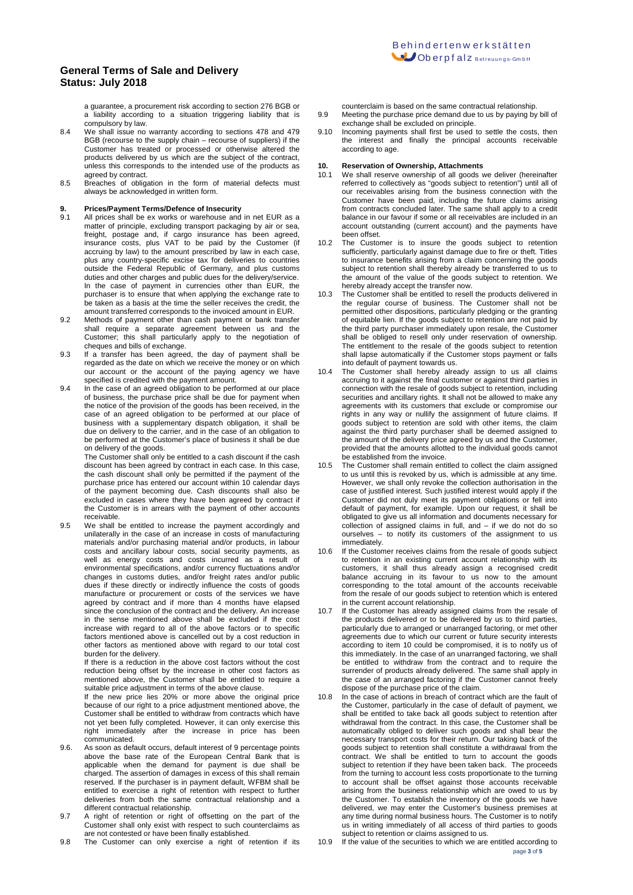a guarantee, a procurement risk according to section 276 BGB or a liability according to a situation triggering liability that is compulsory by law.

- 8.4 We shall issue no warranty according to sections 478 and 479 BGB (recourse to the supply chain – recourse of suppliers) if the Customer has treated or processed or otherwise altered the products delivered by us which are the subject of the contract, unless this corresponds to the intended use of the products as agreed by contract.
- 8.5 Breaches of obligation in the form of material defects must always be acknowledged in written form.

## **9. Prices/Payment Terms/Defence of Insecurity**<br>**9.1** All prices shall be ex works or warehouse and

- All prices shall be ex works or warehouse and in net EUR as a matter of principle, excluding transport packaging by air or sea, freight, postage and, if cargo insurance has been agreed, insurance costs, plus VAT to be paid by the Customer (if accruing by law) to the amount prescribed by law in each case, plus any country-specific excise tax for deliveries to countries outside the Federal Republic of Germany, and plus customs duties and other charges and public dues for the delivery/service. In the case of payment in currencies other than EUR, the purchaser is to ensure that when applying the exchange rate to be taken as a basis at the time the seller receives the credit, the amount transferred corresponds to the invoiced amount in EUR.
- 9.2 Methods of payment other than cash payment or bank transfer shall require a separate agreement between us and the Customer; this shall particularly apply to the negotiation of cheques and bills of exchange.
- 9.3 If a transfer has been agreed, the day of payment shall be regarded as the date on which we receive the money or on which our account or the account of the paying agency we have specified is credited with the payment amount.
- 9.4 In the case of an agreed obligation to be performed at our place of business, the purchase price shall be due for payment when the notice of the provision of the goods has been received, in the case of an agreed obligation to be performed at our place of business with a supplementary dispatch obligation, it shall be due on delivery to the carrier, and in the case of an obligation to be performed at the Customer's place of business it shall be due on delivery of the goods.

The Customer shall only be entitled to a cash discount if the cash discount has been agreed by contract in each case. In this case, the cash discount shall only be permitted if the payment of the purchase price has entered our account within 10 calendar days of the payment becoming due. Cash discounts shall also be excluded in cases where they have been agreed by contract if the Customer is in arrears with the payment of other accounts receivable.

9.5 We shall be entitled to increase the payment accordingly and unilaterally in the case of an increase in costs of manufacturing materials and/or purchasing material and/or products, in labour costs and ancillary labour costs, social security payments, as well as energy costs and costs incurred as a result of environmental specifications, and/or currency fluctuations and/or changes in customs duties, and/or freight rates and/or public dues if these directly or indirectly influence the costs of goods manufacture or procurement or costs of the services we have agreed by contract and if more than 4 months have elapsed since the conclusion of the contract and the delivery. An increase in the sense mentioned above shall be excluded if the cost increase with regard to all of the above factors or to specific factors mentioned above is cancelled out by a cost reduction in other factors as mentioned above with regard to our total cost burden for the delivery.

If there is a reduction in the above cost factors without the cost reduction being offset by the increase in other cost factors as mentioned above, the Customer shall be entitled to require a suitable price adjustment in terms of the above clause.

If the new price lies 20% or more above the original price because of our right to a price adjustment mentioned above, the Customer shall be entitled to withdraw from contracts which have not yet been fully completed. However, it can only exercise this right immediately after the increase in price has been communicated.

- 9.6. As soon as default occurs, default interest of 9 percentage points above the base rate of the European Central Bank that is applicable when the demand for payment is due shall be charged. The assertion of damages in excess of this shall remain reserved. If the purchaser is in payment default, WFBM shall be entitled to exercise a right of retention with respect to further deliveries from both the same contractual relationship and a different contractual relationship.
- 9.7 A right of retention or right of offsetting on the part of the Customer shall only exist with respect to such counterclaims as are not contested or have been finally established.
- 9.8 The Customer can only exercise a right of retention if its

counterclaim is based on the same contractual relationship.

- 9.9 Meeting the purchase price demand due to us by paying by bill of exchange shall be excluded on principle.
- 9.10 Incoming payments shall first be used to settle the costs, then the interest and finally the principal accounts receivable according to age.

## **10. Reservation of Ownership, Attachments**

- 10.1 We shall reserve ownership of all goods we deliver (hereinafter referred to collectively as "goods subject to retention") until all of our receivables arising from the business connection with the Customer have been paid, including the future claims arising from contracts concluded later. The same shall apply to a credit balance in our favour if some or all receivables are included in an account outstanding (current account) and the payments have been offset.
- 10.2 The Customer is to insure the goods subject to retention sufficiently, particularly against damage due to fire or theft. Titles to insurance benefits arising from a claim concerning the goods subject to retention shall thereby already be transferred to us to the amount of the value of the goods subject to retention. We hereby already accept the transfer now.
- 10.3 The Customer shall be entitled to resell the products delivered in the regular course of business. The Customer shall not be permitted other dispositions, particularly pledging or the granting of equitable lien. If the goods subject to retention are not paid by the third party purchaser immediately upon resale, the Customer shall be obliged to resell only under reservation of ownership. The entitlement to the resale of the goods subject to retention shall lapse automatically if the Customer stops payment or falls into default of payment towards us.
- 10.4 The Customer shall hereby already assign to us all claims accruing to it against the final customer or against third parties in connection with the resale of goods subject to retention, including securities and ancillary rights. It shall not be allowed to make any agreements with its customers that exclude or compromise our rights in any way or nullify the assignment of future claims. If goods subject to retention are sold with other items, the claim against the third party purchaser shall be deemed assigned to the amount of the delivery price agreed by us and the Customer, provided that the amounts allotted to the individual goods cannot be established from the invoice.
- 10.5 The Customer shall remain entitled to collect the claim assigned to us until this is revoked by us, which is admissible at any time. However, we shall only revoke the collection authorisation in the case of justified interest. Such justified interest would apply if the Customer did not duly meet its payment obligations or fell into default of payment, for example. Upon our request, it shall be obligated to give us all information and documents necessary for collection of assigned claims in full, and – if we do not do so ourselves – to notify its customers of the assignment to us immediately.
- 10.6 If the Customer receives claims from the resale of goods subject to retention in an existing current account relationship with its customers, it shall thus already assign a recognised credit balance accruing in its favour to us now to the amount corresponding to the total amount of the accounts receivable from the resale of our goods subject to retention which is entered in the current account relationship.
- 10.7 If the Customer has already assigned claims from the resale of the products delivered or to be delivered by us to third parties, particularly due to arranged or unarranged factoring, or met other agreements due to which our current or future security interests according to item 10 could be compromised, it is to notify us of this immediately. In the case of an unarranged factoring, we shall be entitled to withdraw from the contract and to require the surrender of products already delivered. The same shall apply in the case of an arranged factoring if the Customer cannot freely dispose of the purchase price of the claim.
- 10.8 In the case of actions in breach of contract which are the fault of the Customer, particularly in the case of default of payment, we shall be entitled to take back all goods subject to retention after withdrawal from the contract. In this case, the Customer shall be automatically obliged to deliver such goods and shall bear the necessary transport costs for their return. Our taking back of the goods subject to retention shall constitute a withdrawal from the contract. We shall be entitled to turn to account the goods subject to retention if they have been taken back. The proceeds from the turning to account less costs proportionate to the turning to account shall be offset against those accounts receivable arising from the business relationship which are owed to us by the Customer. To establish the inventory of the goods we have delivered, we may enter the Customer's business premises at any time during normal business hours. The Customer is to notify us in writing immediately of all access of third parties to goods subject to retention or claims assigned to us.
- page **<sup>3</sup>** of **<sup>5</sup>** 10.9 If the value of the securities to which we are entitled according to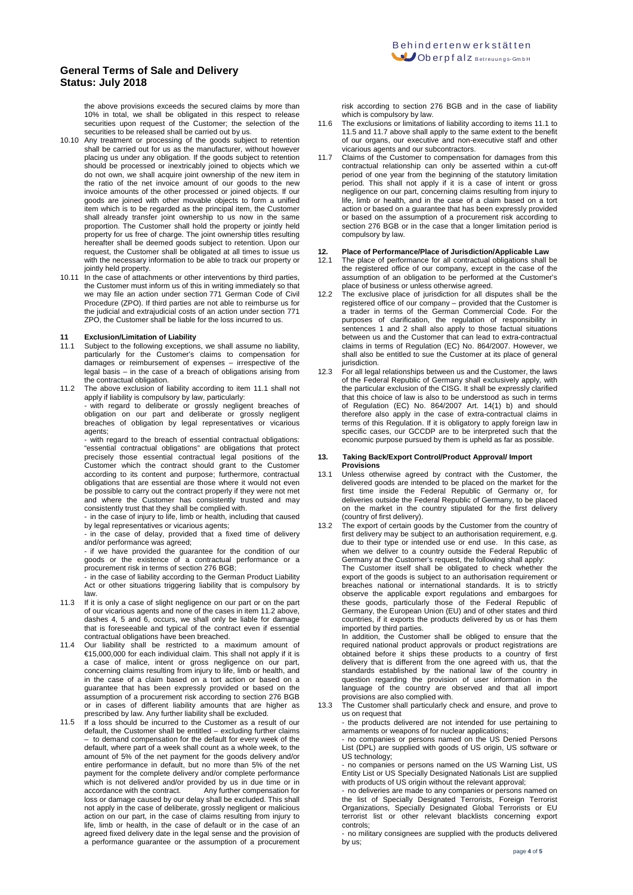the above provisions exceeds the secured claims by more than 10% in total, we shall be obligated in this respect to release securities upon request of the Customer; the selection of the securities to be released shall be carried out by us.

- 10.10 Any treatment or processing of the goods subject to retention shall be carried out for us as the manufacturer, without however placing us under any obligation. If the goods subject to retention should be processed or inextricably joined to objects which we do not own, we shall acquire joint ownership of the new item in the ratio of the net invoice amount of our goods to the new invoice amounts of the other processed or joined objects. If our goods are joined with other movable objects to form a unified item which is to be regarded as the principal item, the Customer shall already transfer joint ownership to us now in the same proportion. The Customer shall hold the property or jointly held property for us free of charge. The joint ownership titles resulting hereafter shall be deemed goods subject to retention. Upon our request, the Customer shall be obligated at all times to issue us with the necessary information to be able to track our property or jointly held property.
- 10.11 In the case of attachments or other interventions by third parties, the Customer must inform us of this in writing immediately so that we may file an action under section 771 German Code of Civil Procedure (ZPO). If third parties are not able to reimburse us for the judicial and extrajudicial costs of an action under section 771 ZPO, the Customer shall be liable for the loss incurred to us.

## **11 Exclusion/Limitation of Liability**

- Subject to the following exceptions, we shall assume no liability, particularly for the Customer's claims to compensation for damages or reimbursement of expenses – irrespective of the legal basis – in the case of a breach of obligations arising from the contractual obligation.
- 11.2 The above exclusion of liability according to item 11.1 shall not apply if liability is compulsory by law, particularly:

with regard to deliberate or grossly negligent breaches of obligation on our part and deliberate or grossly negligent breaches of obligation by legal representatives or vicarious agents;

- with regard to the breach of essential contractual obligations: "essential contractual obligations" are obligations that protect precisely those essential contractual legal positions of the Customer which the contract should grant to the Customer according to its content and purpose; furthermore, contractual obligations that are essential are those where it would not even be possible to carry out the contract properly if they were not met and where the Customer has consistently trusted and may consistently trust that they shall be complied with.

- in the case of injury to life, limb or health, including that caused by legal representatives or vicarious agents;

- in the case of delay, provided that a fixed time of delivery and/or performance was agreed;

- if we have provided the guarantee for the condition of our goods or the existence of a contractual performance or a procurement risk in terms of section 276 BGB;

.<br>- in the case of liability according to the German Product Liability Act or other situations triggering liability that is compulsory by law.

- 11.3 If it is only a case of slight negligence on our part or on the part of our vicarious agents and none of the cases in item 11.2 above, dashes 4, 5 and 6, occurs, we shall only be liable for damage that is foreseeable and typical of the contract even if essential contractual obligations have been breached.
- 11.4 Our liability shall be restricted to a maximum amount of €15,000,000 for each individual claim. This shall not apply if it is a case of malice, intent or gross negligence on our part, concerning claims resulting from injury to life, limb or health, and in the case of a claim based on a tort action or based on a guarantee that has been expressly provided or based on the assumption of a procurement risk according to section 276 BGB or in cases of different liability amounts that are higher as prescribed by law. Any further liability shall be excluded.
- 11.5 If a loss should be incurred to the Customer as a result of our default, the Customer shall be entitled – excluding further claims – to demand compensation for the default for every week of the default, where part of a week shall count as a whole week, to the amount of 5% of the net payment for the goods delivery and/or entire performance in default, but no more than 5% of the net payment for the complete delivery and/or complete performance which is not delivered and/or provided by us in due time or in accordance with the contract. Any further compensation for Any further compensation for loss or damage caused by our delay shall be excluded. This shall not apply in the case of deliberate, grossly negligent or malicious action on our part, in the case of claims resulting from injury to life, limb or health, in the case of default or in the case of an agreed fixed delivery date in the legal sense and the provision of a performance guarantee or the assumption of a procurement

risk according to section 276 BGB and in the case of liability which is compulsory by law.

- 11.6 The exclusions or limitations of liability according to items 11.1 to 11.5 and 11.7 above shall apply to the same extent to the benefit of our organs, our executive and non-executive staff and other vicarious agents and our subcontractors.
- 11.7 Claims of the Customer to compensation for damages from this contractual relationship can only be asserted within a cut-off period of one year from the beginning of the statutory limitation period. This shall not apply if it is a case of intent or gross negligence on our part, concerning claims resulting from injury to life, limb or health, and in the case of a claim based on a tort action or based on a guarantee that has been expressly provided or based on the assumption of a procurement risk according to section 276 BGB or in the case that a longer limitation period is compulsory by law.

# **12. Place of Performance/Place of Jurisdiction/Applicable Law**

- 12.1 The place of performance for all contractual obligations shall be the registered office of our company, except in the case of the assumption of an obligation to be performed at the Customer's place of business or unless otherwise agreed.
- 12.2 The exclusive place of jurisdiction for all disputes shall be the registered office of our company – provided that the Customer is a trader in terms of the German Commercial Code. For the purposes of clarification, the regulation of responsibility in sentences 1 and 2 shall also apply to those factual situations between us and the Customer that can lead to extra-contractual claims in terms of Regulation (EC) No. 864/2007. However, we shall also be entitled to sue the Customer at its place of general jurisdiction.
- 12.3 For all legal relationships between us and the Customer, the laws of the Federal Republic of Germany shall exclusively apply, with the particular exclusion of the CISG. It shall be expressly clarified that this choice of law is also to be understood as such in terms of Regulation (EC) No. 864/2007 Art. 14(1) b) and should therefore also apply in the case of extra-contractual claims in terms of this Regulation. If it is obligatory to apply foreign law in specific cases, our GCCDP are to be interpreted such that the economic purpose pursued by them is upheld as far as possible.

#### **13. Taking Back/Export Control/Product Approval/ Import Provisions**

- 13.1 Unless otherwise agreed by contract with the Customer, the delivered goods are intended to be placed on the market for the first time inside the Federal Republic of Germany or, for deliveries outside the Federal Republic of Germany, to be placed on the market in the country stipulated for the first delivery (country of first delivery).
- 13.2 The export of certain goods by the Customer from the country of first delivery may be subject to an authorisation requirement, e.g. due to their type or intended use or end use. In this case, as when we deliver to a country outside the Federal Republic of Germany at the Customer's request, the following shall apply: The Customer itself shall be obligated to check whether the export of the goods is subject to an authorisation requirement or breaches national or international standards. It is to strictly observe the applicable export regulations and embargoes for these goods, particularly those of the Federal Republic of Germany, the European Union (EU) and of other states and third countries, if it exports the products delivered by us or has them imported by third parties. In addition, the Customer shall be obliged to ensure that the

required national product approvals or product registrations are obtained before it ships these products to a country of first delivery that is different from the one agreed with us, that the standards established by the national law of the country in question regarding the provision of user information in the language of the country are observed and that all import provisions are also complied with.

13.3 The Customer shall particularly check and ensure, and prove to us on request that

- the products delivered are not intended for use pertaining to armaments or weapons of for nuclear applications;

- no companies or persons named on the US Denied Persons List (DPL) are supplied with goods of US origin, US software or US technology;

- no companies or persons named on the US Warning List, US Entity List or US Specially Designated Nationals List are supplied with products of US origin without the relevant approval;

- no deliveries are made to any companies or persons named on the list of Specially Designated Terrorists, Foreign Terrorist Organizations, Specially Designated Global Terrorists or EU terrorist list or other relevant blacklists concerning controls;

- no military consignees are supplied with the products delivered by us;